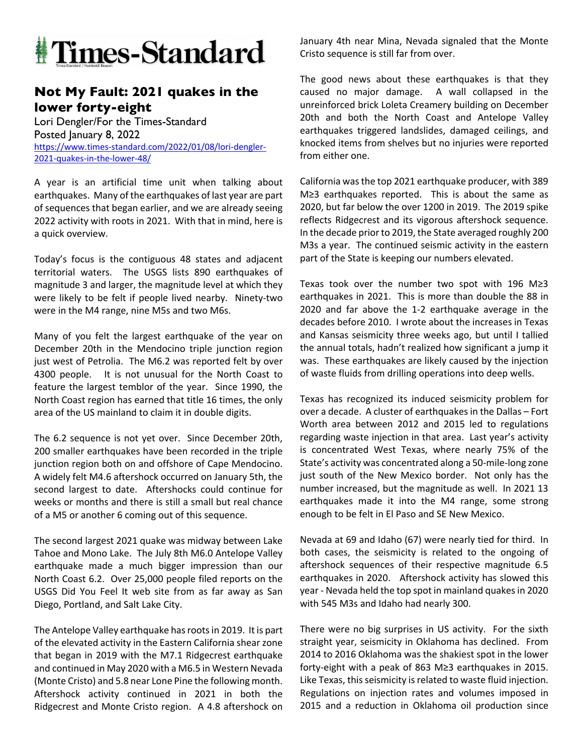

## **Not My Fault: 2021 quakes in the lower forty-eight**

Lori Dengler/For the Times-Standard Posted January 8, 2022 https://www.times-standard.com/2022/01/08/lori-dengler-2021-quakes-in-the-lower-48/

A year is an artificial time unit when talking about earthquakes. Many of the earthquakes of last year are part of sequences that began earlier, and we are already seeing 2022 activity with roots in 2021. With that in mind, here is a quick overview.

Today's focus is the contiguous 48 states and adjacent territorial waters. The USGS lists 890 earthquakes of magnitude 3 and larger, the magnitude level at which they were likely to be felt if people lived nearby. Ninety-two were in the M4 range, nine M5s and two M6s.

Many of you felt the largest earthquake of the year on December 20th in the Mendocino triple junction region just west of Petrolia. The M6.2 was reported felt by over 4300 people. It is not unusual for the North Coast to feature the largest temblor of the year. Since 1990, the North Coast region has earned that title 16 times, the only area of the US mainland to claim it in double digits.

The 6.2 sequence is not yet over. Since December 20th, 200 smaller earthquakes have been recorded in the triple junction region both on and offshore of Cape Mendocino. A widely felt M4.6 aftershock occurred on January 5th, the second largest to date. Aftershocks could continue for weeks or months and there is still a small but real chance of a M5 or another 6 coming out of this sequence.

The second largest 2021 quake was midway between Lake Tahoe and Mono Lake. The July 8th M6.0 Antelope Valley earthquake made a much bigger impression than our North Coast 6.2. Over 25,000 people filed reports on the USGS Did You Feel It web site from as far away as San Diego, Portland, and Salt Lake City.

The Antelope Valley earthquake has roots in 2019. It is part of the elevated activity in the Eastern California shear zone that began in 2019 with the M7.1 Ridgecrest earthquake and continued in May 2020 with a M6.5 in Western Nevada (Monte Cristo) and 5.8 near Lone Pine the following month. Aftershock activity continued in 2021 in both the Ridgecrest and Monte Cristo region. A 4.8 aftershock on January 4th near Mina, Nevada signaled that the Monte Cristo sequence is still far from over.

The good news about these earthquakes is that they caused no major damage. A wall collapsed in the unreinforced brick Loleta Creamery building on December 20th and both the North Coast and Antelope Valley earthquakes triggered landslides, damaged ceilings, and knocked items from shelves but no injuries were reported from either one.

California was the top 2021 earthquake producer, with 389 M≥3 earthquakes reported. This is about the same as 2020, but far below the over 1200 in 2019. The 2019 spike reflects Ridgecrest and its vigorous aftershock sequence. In the decade prior to 2019, the State averaged roughly 200 M3s a year. The continued seismic activity in the eastern part of the State is keeping our numbers elevated.

Texas took over the number two spot with 196 M≥3 earthquakes in 2021. This is more than double the 88 in 2020 and far above the 1-2 earthquake average in the decades before 2010. I wrote about the increases in Texas and Kansas seismicity three weeks ago, but until I tallied the annual totals, hadn't realized how significant a jump it was. These earthquakes are likely caused by the injection of waste fluids from drilling operations into deep wells.

Texas has recognized its induced seismicity problem for over a decade. A cluster of earthquakes in the Dallas – Fort Worth area between 2012 and 2015 led to regulations regarding waste injection in that area. Last year's activity is concentrated West Texas, where nearly 75% of the State's activity was concentrated along a 50-mile-long zone just south of the New Mexico border. Not only has the number increased, but the magnitude as well. In 2021 13 earthquakes made it into the M4 range, some strong enough to be felt in El Paso and SE New Mexico.

Nevada at 69 and Idaho (67) were nearly tied for third. In both cases, the seismicity is related to the ongoing of aftershock sequences of their respective magnitude 6.5 earthquakes in 2020. Aftershock activity has slowed this year - Nevada held the top spot in mainland quakes in 2020 with 545 M3s and Idaho had nearly 300.

There were no big surprises in US activity. For the sixth straight year, seismicity in Oklahoma has declined. From 2014 to 2016 Oklahoma was the shakiest spot in the lower forty-eight with a peak of 863 M≥3 earthquakes in 2015. Like Texas, this seismicity is related to waste fluid injection. Regulations on injection rates and volumes imposed in 2015 and a reduction in Oklahoma oil production since